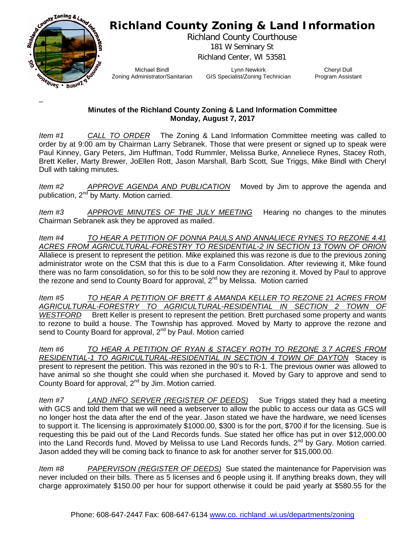## **Richland County Zoning & Land Information**



–

Richland County Courthouse 181 W Seminary St Richland Center, WI 53581

Michael Bindl Zoning Administrator/Sanitarian

Lynn Newkirk GIS Specialist/Zoning Technician

Cheryl Dull Program Assistant

## **Minutes of the Richland County Zoning & Land Information Committee Monday, August 7, 2017**

*Item #1 CALL TO ORDER* The Zoning & Land Information Committee meeting was called to order by at 9:00 am by Chairman Larry Sebranek. Those that were present or signed up to speak were Paul Kinney, Gary Peters, Jim Huffman, Todd Rummler, Melissa Burke, Anneliece Rynes, Stacey Roth, Brett Keller, Marty Brewer, JoEllen Rott, Jason Marshall, Barb Scott, Sue Triggs, Mike Bindl with Cheryl Dull with taking minutes.

*Item #2 APPROVE AGENDA AND PUBLICATION* Moved by Jim to approve the agenda and publication,  $2^{nd}$  by Marty. Motion carried.

*Item #3 APPROVE MINUTES OF THE JULY MEETING* Hearing no changes to the minutes Chairman Sebranek ask they be approved as mailed.

*Item #4 TO HEAR A PETITION OF DONNA PAULS AND ANNALIECE RYNES TO REZONE 4.41 ACRES FROM AGRICULTURAL-FORESTRY TO RESIDENTIAL-2 IN SECTION 13 TOWN OF ORION* Allaliece is present to represent the petition. Mike explained this was rezone is due to the previous zoning administrator wrote on the CSM that this is due to a Farm Consolidation. After reviewing it, Mike found there was no farm consolidation, so for this to be sold now they are rezoning it. Moved by Paul to approve the rezone and send to County Board for approval, 2<sup>nd</sup> by Melissa. Motion carried

*Item #5 TO HEAR A PETITION OF BRETT & AMANDA KELLER TO REZONE 21 ACRES FROM AGRICULTURAL-FORESTRY TO AGRICULTURAL-RESIDENTIAL IN SECTION 2 TOWN OF WESTFORD* Brett Keller is present to represent the petition. Brett purchased some property and wants to rezone to build a house. The Township has approved. Moved by Marty to approve the rezone and send to County Board for approval, 2<sup>nd</sup> by Paul. Motion carried

*Item #6 TO HEAR A PETITION OF RYAN & STACEY ROTH TO REZONE 3.7 ACRES FROM RESIDENTIAL-1 TO AGRICULTURAL-RESIDENTIAL IN SECTION 4 TOWN OF DAYTON* Stacey is present to represent the petition. This was rezoned in the 90's to R-1. The previous owner was allowed to have animal so she thought she could when she purchased it. Moved by Gary to approve and send to County Board for approval, 2<sup>nd</sup> by Jim. Motion carried.

*Item #7 LAND INFO SERVER (REGISTER OF DEEDS)* Sue Triggs stated they had a meeting with GCS and told them that we will need a webserver to allow the public to access our data as GCS will no longer host the data after the end of the year. Jason stated we have the hardware, we need licenses to support it. The licensing is approximately \$1000.00, \$300 is for the port, \$700 if for the licensing. Sue is requesting this be paid out of the Land Records funds. Sue stated her office has put in over \$12,000.00 into the Land Records fund. Moved by Melissa to use Land Records funds, 2<sup>nd</sup> by Gary. Motion carried. Jason added they will be coming back to finance to ask for another server for \$15,000.00.

*Item #8 PAPERVISON (REGISTER OF DEEDS)* Sue stated the maintenance for Papervision was never included on their bills. There as 5 licenses and 6 people using it. If anything breaks down, they will charge approximately \$150.00 per hour for support otherwise it could be paid yearly at \$580.55 for the